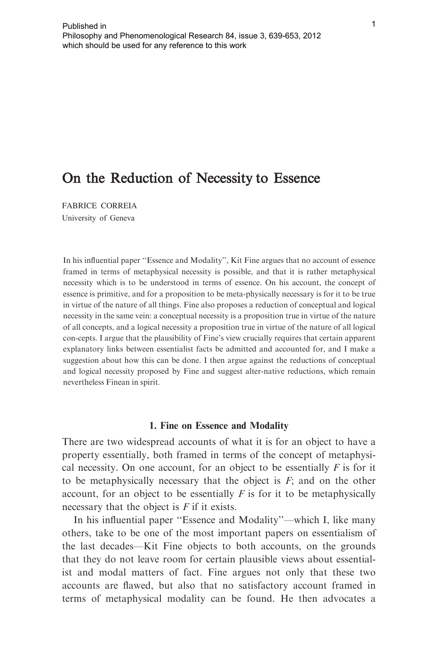# On the Reduction of Necessity to Essence

fabrice correia University of Geneva

In his influential paper ''Essence and Modality'', Kit Fine argues that no account of essence framed in terms of metaphysical necessity is possible, and that it is rather metaphysical necessity which is to be understood in terms of essence. On his account, the concept of essence is primitive, and for a proposition to be meta-physically necessary is for it to be true in virtue of the nature of all things. Fine also proposes a reduction of conceptual and logical necessity in the same vein: a conceptual necessity is a proposition true in virtue of the nature of all concepts, and a logical necessity a proposition true in virtue of the nature of all logical con-cepts. I argue that the plausibility of Fine's view crucially requires that certain apparent explanatory links between essentialist facts be admitted and accounted for, and I make a suggestion about how this can be done. I then argue against the reductions of conceptual and logical necessity proposed by Fine and suggest alter-native reductions, which remain nevertheless Finean in spirit.

#### 1. Fine on Essence and Modality

There are two widespread accounts of what it is for an object to have a property essentially, both framed in terms of the concept of metaphysical necessity. On one account, for an object to be essentially  $F$  is for it to be metaphysically necessary that the object is  $F$ ; and on the other account, for an object to be essentially  $F$  is for it to be metaphysically necessary that the object is  $F$  if it exists.

In his influential paper ''Essence and Modality''—which I, like many others, take to be one of the most important papers on essentialism of the last decades—Kit Fine objects to both accounts, on the grounds that they do not leave room for certain plausible views about essentialist and modal matters of fact. Fine argues not only that these two accounts are flawed, but also that no satisfactory account framed in terms of metaphysical modality can be found. He then advocates a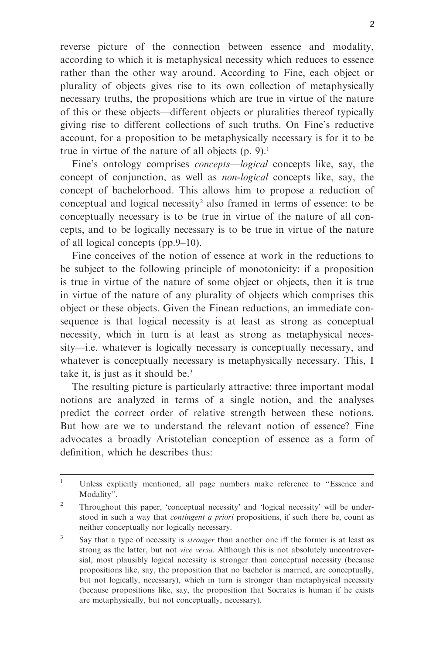reverse picture of the connection between essence and modality, according to which it is metaphysical necessity which reduces to essence rather than the other way around. According to Fine, each object or plurality of objects gives rise to its own collection of metaphysically necessary truths, the propositions which are true in virtue of the nature of this or these objects—different objects or pluralities thereof typically giving rise to different collections of such truths. On Fine's reductive account, for a proposition to be metaphysically necessary is for it to be true in virtue of the nature of all objects  $(p, 9)$ .<sup>1</sup>

Fine's ontology comprises *concepts—logical* concepts like, say, the concept of conjunction, as well as non-logical concepts like, say, the concept of bachelorhood. This allows him to propose a reduction of conceptual and logical necessity<sup>2</sup> also framed in terms of essence: to be conceptually necessary is to be true in virtue of the nature of all concepts, and to be logically necessary is to be true in virtue of the nature of all logical concepts (pp.9–10).

Fine conceives of the notion of essence at work in the reductions to be subject to the following principle of monotonicity: if a proposition is true in virtue of the nature of some object or objects, then it is true in virtue of the nature of any plurality of objects which comprises this object or these objects. Given the Finean reductions, an immediate consequence is that logical necessity is at least as strong as conceptual necessity, which in turn is at least as strong as metaphysical necessity—i.e. whatever is logically necessary is conceptually necessary, and whatever is conceptually necessary is metaphysically necessary. This, I take it, is just as it should be.<sup>3</sup>

The resulting picture is particularly attractive: three important modal notions are analyzed in terms of a single notion, and the analyses predict the correct order of relative strength between these notions. But how are we to understand the relevant notion of essence? Fine advocates a broadly Aristotelian conception of essence as a form of definition, which he describes thus:

<sup>&</sup>lt;sup>1</sup> Unless explicitly mentioned, all page numbers make reference to "Essence and Modality''.

<sup>&</sup>lt;sup>2</sup> Throughout this paper, 'conceptual necessity' and 'logical necessity' will be understood in such a way that contingent a priori propositions, if such there be, count as neither conceptually nor logically necessary.

 $3$  Say that a type of necessity is *stronger* than another one iff the former is at least as strong as the latter, but not vice versa. Although this is not absolutely uncontroversial, most plausibly logical necessity is stronger than conceptual necessity (because propositions like, say, the proposition that no bachelor is married, are conceptually, but not logically, necessary), which in turn is stronger than metaphysical necessity (because propositions like, say, the proposition that Socrates is human if he exists are metaphysically, but not conceptually, necessary).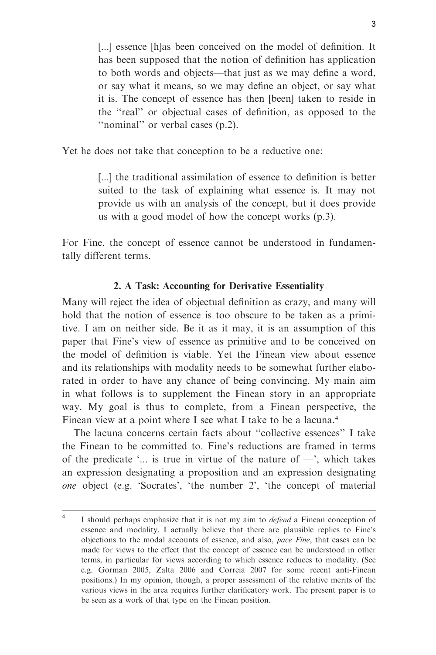[...] essence [h]as been conceived on the model of definition. It has been supposed that the notion of definition has application to both words and objects—that just as we may define a word, or say what it means, so we may define an object, or say what it is. The concept of essence has then [been] taken to reside in the ''real'' or objectual cases of definition, as opposed to the ''nominal'' or verbal cases (p.2).

Yet he does not take that conception to be a reductive one:

[...] the traditional assimilation of essence to definition is better suited to the task of explaining what essence is. It may not provide us with an analysis of the concept, but it does provide us with a good model of how the concept works (p.3).

For Fine, the concept of essence cannot be understood in fundamentally different terms.

## 2. A Task: Accounting for Derivative Essentiality

Many will reject the idea of objectual definition as crazy, and many will hold that the notion of essence is too obscure to be taken as a primitive. I am on neither side. Be it as it may, it is an assumption of this paper that Fine's view of essence as primitive and to be conceived on the model of definition is viable. Yet the Finean view about essence and its relationships with modality needs to be somewhat further elaborated in order to have any chance of being convincing. My main aim in what follows is to supplement the Finean story in an appropriate way. My goal is thus to complete, from a Finean perspective, the Finean view at a point where I see what I take to be a lacuna.<sup>4</sup>

The lacuna concerns certain facts about ''collective essences'' I take the Finean to be committed to. Fine's reductions are framed in terms of the predicate '... is true in virtue of the nature of  $\rightarrow$ ', which takes an expression designating a proposition and an expression designating one object (e.g. 'Socrates', 'the number 2', 'the concept of material

 $\frac{4}{1}$  I should perhaps emphasize that it is not my aim to *defend* a Finean conception of essence and modality. I actually believe that there are plausible replies to Fine's objections to the modal accounts of essence, and also, pace Fine, that cases can be made for views to the effect that the concept of essence can be understood in other terms, in particular for views according to which essence reduces to modality. (See e.g. Gorman 2005, Zalta 2006 and Correia 2007 for some recent anti-Finean positions.) In my opinion, though, a proper assessment of the relative merits of the various views in the area requires further clarificatory work. The present paper is to be seen as a work of that type on the Finean position.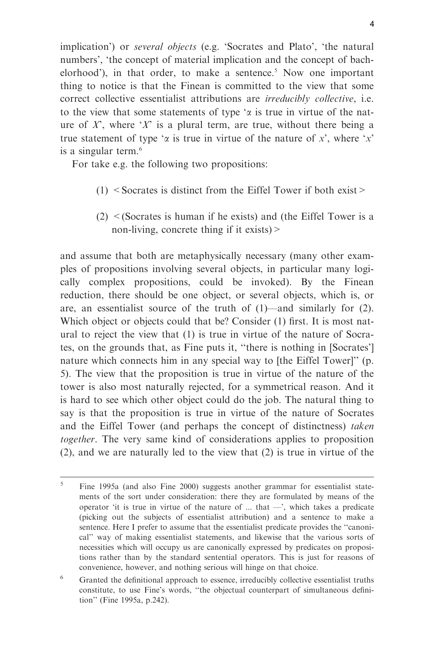implication') or several objects (e.g. 'Socrates and Plato', 'the natural numbers', 'the concept of material implication and the concept of bachelorhood'), in that order, to make a sentence.<sup>5</sup> Now one important thing to notice is that the Finean is committed to the view that some correct collective essentialist attributions are irreducibly collective, i.e. to the view that some statements of type  $\alpha$  is true in virtue of the nature of X', where 'X' is a plural term, are true, without there being a true statement of type ' $\alpha$  is true in virtue of the nature of x', where 'x' is a singular term.<sup>6</sup>

For take e.g. the following two propositions:

- $(1)$  < Socrates is distinct from the Eiffel Tower if both exist >
- $(2)$  <(Socrates is human if he exists) and (the Eiffel Tower is a non-living, concrete thing if it exists)  $>$

and assume that both are metaphysically necessary (many other examples of propositions involving several objects, in particular many logically complex propositions, could be invoked). By the Finean reduction, there should be one object, or several objects, which is, or are, an essentialist source of the truth of (1)—and similarly for (2). Which object or objects could that be? Consider (1) first. It is most natural to reject the view that (1) is true in virtue of the nature of Socrates, on the grounds that, as Fine puts it, ''there is nothing in [Socrates'] nature which connects him in any special way to [the Eiffel Tower]'' (p. 5). The view that the proposition is true in virtue of the nature of the tower is also most naturally rejected, for a symmetrical reason. And it is hard to see which other object could do the job. The natural thing to say is that the proposition is true in virtue of the nature of Socrates and the Eiffel Tower (and perhaps the concept of distinctness) taken together. The very same kind of considerations applies to proposition (2), and we are naturally led to the view that (2) is true in virtue of the

<sup>&</sup>lt;sup>5</sup> Fine 1995a (and also Fine 2000) suggests another grammar for essentialist statements of the sort under consideration: there they are formulated by means of the operator 'it is true in virtue of the nature of  $\ldots$  that  $\ldots$ ', which takes a predicate (picking out the subjects of essentialist attribution) and a sentence to make a sentence. Here I prefer to assume that the essentialist predicate provides the ''canonical'' way of making essentialist statements, and likewise that the various sorts of necessities which will occupy us are canonically expressed by predicates on propositions rather than by the standard sentential operators. This is just for reasons of convenience, however, and nothing serious will hinge on that choice.

<sup>6</sup> Granted the definitional approach to essence, irreducibly collective essentialist truths constitute, to use Fine's words, ''the objectual counterpart of simultaneous definition'' (Fine 1995a, p.242).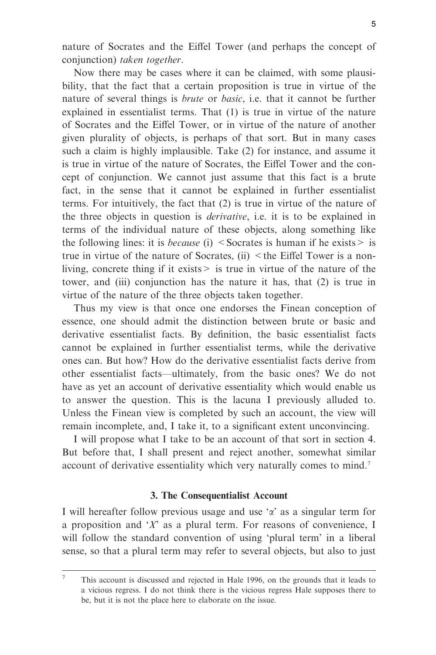nature of Socrates and the Eiffel Tower (and perhaps the concept of conjunction) taken together.

Now there may be cases where it can be claimed, with some plausibility, that the fact that a certain proposition is true in virtue of the nature of several things is brute or basic, i.e. that it cannot be further explained in essentialist terms. That (1) is true in virtue of the nature of Socrates and the Eiffel Tower, or in virtue of the nature of another given plurality of objects, is perhaps of that sort. But in many cases such a claim is highly implausible. Take (2) for instance, and assume it is true in virtue of the nature of Socrates, the Eiffel Tower and the concept of conjunction. We cannot just assume that this fact is a brute fact, in the sense that it cannot be explained in further essentialist terms. For intuitively, the fact that (2) is true in virtue of the nature of the three objects in question is derivative, i.e. it is to be explained in terms of the individual nature of these objects, along something like the following lines: it is *because* (i)  $\leq$  Socrates is human if he exists  $>$  is true in virtue of the nature of Socrates, (ii)  $\leq$  the Eiffel Tower is a nonliving, concrete thing if it exists> is true in virtue of the nature of the tower, and (iii) conjunction has the nature it has, that (2) is true in virtue of the nature of the three objects taken together.

Thus my view is that once one endorses the Finean conception of essence, one should admit the distinction between brute or basic and derivative essentialist facts. By definition, the basic essentialist facts cannot be explained in further essentialist terms, while the derivative ones can. But how? How do the derivative essentialist facts derive from other essentialist facts—ultimately, from the basic ones? We do not have as yet an account of derivative essentiality which would enable us to answer the question. This is the lacuna I previously alluded to. Unless the Finean view is completed by such an account, the view will remain incomplete, and, I take it, to a significant extent unconvincing.

I will propose what I take to be an account of that sort in section 4. But before that, I shall present and reject another, somewhat similar account of derivative essentiality which very naturally comes to mind.7

#### 3. The Consequentialist Account

I will hereafter follow previous usage and use  $\alpha$  as a singular term for a proposition and ' $X$ ' as a plural term. For reasons of convenience, I will follow the standard convention of using 'plural term' in a liberal sense, so that a plural term may refer to several objects, but also to just

<sup>7</sup> This account is discussed and rejected in Hale 1996, on the grounds that it leads to a vicious regress. I do not think there is the vicious regress Hale supposes there to be, but it is not the place here to elaborate on the issue.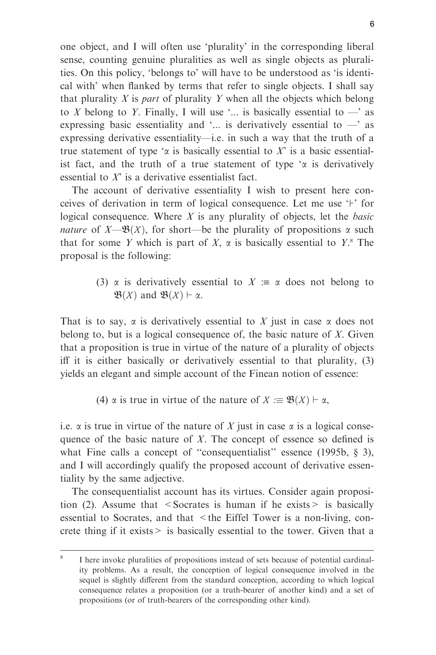one object, and I will often use 'plurality' in the corresponding liberal sense, counting genuine pluralities as well as single objects as pluralities. On this policy, 'belongs to' will have to be understood as 'is identical with' when flanked by terms that refer to single objects. I shall say that plurality  $X$  is part of plurality  $Y$  when all the objects which belong to X belong to Y. Finally, I will use '... is basically essential to  $\overline{\phantom{a}}$  as expressing basic essentiality and  $\ldots$  is derivatively essential to  $\ldots$  as expressing derivative essentiality—i.e. in such a way that the truth of a true statement of type ' $\alpha$  is basically essential to X' is a basic essentialist fact, and the truth of a true statement of type  $\alpha$  is derivatively essential to  $X'$  is a derivative essentialist fact.

The account of derivative essentiality I wish to present here conceives of derivation in term of logical consequence. Let me use 'F' for logical consequence. Where  $X$  is any plurality of objects, let the *basic nature* of  $X \rightarrow B(X)$ , for short—be the plurality of propositions  $\alpha$  such that for some Y which is part of X,  $\alpha$  is basically essential to Y.<sup>8</sup> The proposal is the following:

> (3)  $\alpha$  is derivatively essential to  $X := \alpha$  does not belong to  $\mathfrak{B}(X)$  and  $\mathfrak{B}(X) \vdash \alpha$ .

That is to say,  $\alpha$  is derivatively essential to X just in case  $\alpha$  does not belong to, but is a logical consequence of, the basic nature of  $X$ . Given that a proposition is true in virtue of the nature of a plurality of objects iff it is either basically or derivatively essential to that plurality, (3) yields an elegant and simple account of the Finean notion of essence:

(4)  $\alpha$  is true in virtue of the nature of  $X := \mathfrak{B}(X) \vdash \alpha$ ,

i.e.  $\alpha$  is true in virtue of the nature of X just in case  $\alpha$  is a logical consequence of the basic nature of  $X$ . The concept of essence so defined is what Fine calls a concept of "consequentialist" essence (1995b,  $\S$  3), and I will accordingly qualify the proposed account of derivative essentiality by the same adjective.

The consequentialist account has its virtues. Consider again proposition (2). Assume that  $\leq$  Socrates is human if he exists  $>$  is basically essential to Socrates, and that  $\leq$  the Eiffel Tower is a non-living, concrete thing if it exists  $>$  is basically essential to the tower. Given that a

I here invoke pluralities of propositions instead of sets because of potential cardinality problems. As a result, the conception of logical consequence involved in the sequel is slightly different from the standard conception, according to which logical consequence relates a proposition (or a truth-bearer of another kind) and a set of propositions (or of truth-bearers of the corresponding other kind).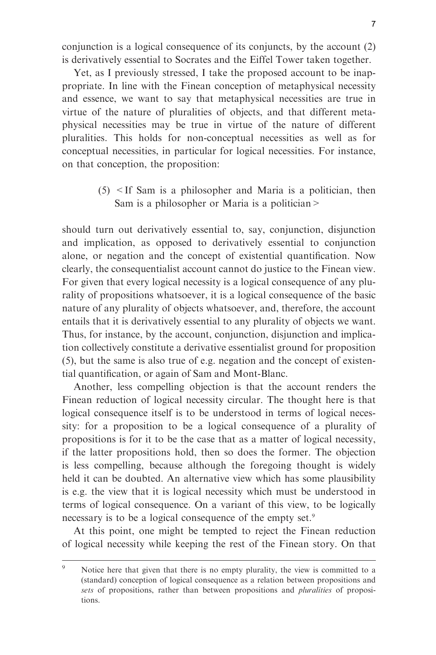conjunction is a logical consequence of its conjuncts, by the account (2) is derivatively essential to Socrates and the Eiffel Tower taken together.

Yet, as I previously stressed, I take the proposed account to be inappropriate. In line with the Finean conception of metaphysical necessity and essence, we want to say that metaphysical necessities are true in virtue of the nature of pluralities of objects, and that different metaphysical necessities may be true in virtue of the nature of different pluralities. This holds for non-conceptual necessities as well as for conceptual necessities, in particular for logical necessities. For instance, on that conception, the proposition:

> $(5)$  <If Sam is a philosopher and Maria is a politician, then Sam is a philosopher or Maria is a politician>

should turn out derivatively essential to, say, conjunction, disjunction and implication, as opposed to derivatively essential to conjunction alone, or negation and the concept of existential quantification. Now clearly, the consequentialist account cannot do justice to the Finean view. For given that every logical necessity is a logical consequence of any plurality of propositions whatsoever, it is a logical consequence of the basic nature of any plurality of objects whatsoever, and, therefore, the account entails that it is derivatively essential to any plurality of objects we want. Thus, for instance, by the account, conjunction, disjunction and implication collectively constitute a derivative essentialist ground for proposition (5), but the same is also true of e.g. negation and the concept of existential quantification, or again of Sam and Mont-Blanc.

Another, less compelling objection is that the account renders the Finean reduction of logical necessity circular. The thought here is that logical consequence itself is to be understood in terms of logical necessity: for a proposition to be a logical consequence of a plurality of propositions is for it to be the case that as a matter of logical necessity, if the latter propositions hold, then so does the former. The objection is less compelling, because although the foregoing thought is widely held it can be doubted. An alternative view which has some plausibility is e.g. the view that it is logical necessity which must be understood in terms of logical consequence. On a variant of this view, to be logically necessary is to be a logical consequence of the empty set.<sup>9</sup>

At this point, one might be tempted to reject the Finean reduction of logical necessity while keeping the rest of the Finean story. On that

Notice here that given that there is no empty plurality, the view is committed to a (standard) conception of logical consequence as a relation between propositions and sets of propositions, rather than between propositions and *pluralities* of propositions.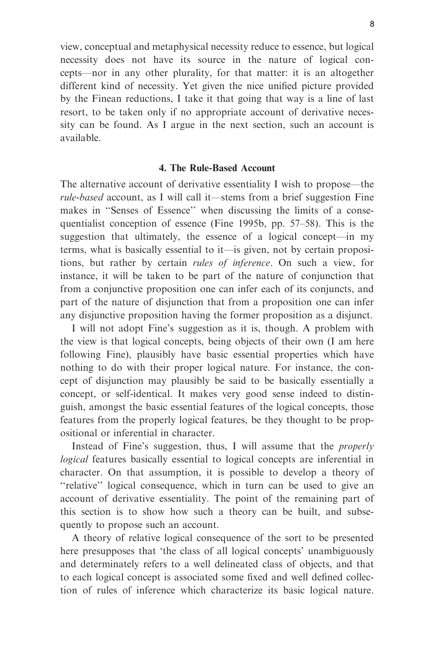view, conceptual and metaphysical necessity reduce to essence, but logical necessity does not have its source in the nature of logical concepts—nor in any other plurality, for that matter: it is an altogether different kind of necessity. Yet given the nice unified picture provided by the Finean reductions, I take it that going that way is a line of last resort, to be taken only if no appropriate account of derivative necessity can be found. As I argue in the next section, such an account is available.

#### 4. The Rule-Based Account

The alternative account of derivative essentiality I wish to propose—the rule-based account, as I will call it—stems from a brief suggestion Fine makes in ''Senses of Essence'' when discussing the limits of a consequentialist conception of essence (Fine 1995b, pp. 57–58). This is the suggestion that ultimately, the essence of a logical concept—in my terms, what is basically essential to it—is given, not by certain propositions, but rather by certain rules of inference. On such a view, for instance, it will be taken to be part of the nature of conjunction that from a conjunctive proposition one can infer each of its conjuncts, and part of the nature of disjunction that from a proposition one can infer any disjunctive proposition having the former proposition as a disjunct.

I will not adopt Fine's suggestion as it is, though. A problem with the view is that logical concepts, being objects of their own (I am here following Fine), plausibly have basic essential properties which have nothing to do with their proper logical nature. For instance, the concept of disjunction may plausibly be said to be basically essentially a concept, or self-identical. It makes very good sense indeed to distinguish, amongst the basic essential features of the logical concepts, those features from the properly logical features, be they thought to be propositional or inferential in character.

Instead of Fine's suggestion, thus, I will assume that the properly logical features basically essential to logical concepts are inferential in character. On that assumption, it is possible to develop a theory of ''relative'' logical consequence, which in turn can be used to give an account of derivative essentiality. The point of the remaining part of this section is to show how such a theory can be built, and subsequently to propose such an account.

A theory of relative logical consequence of the sort to be presented here presupposes that 'the class of all logical concepts' unambiguously and determinately refers to a well delineated class of objects, and that to each logical concept is associated some fixed and well defined collection of rules of inference which characterize its basic logical nature.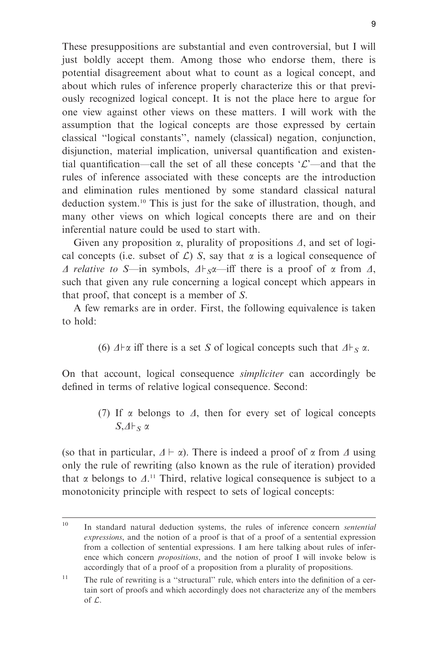These presuppositions are substantial and even controversial, but I will just boldly accept them. Among those who endorse them, there is potential disagreement about what to count as a logical concept, and about which rules of inference properly characterize this or that previously recognized logical concept. It is not the place here to argue for one view against other views on these matters. I will work with the assumption that the logical concepts are those expressed by certain classical ''logical constants'', namely (classical) negation, conjunction, disjunction, material implication, universal quantification and existential quantification—call the set of all these concepts  $\mathcal{L}'$ —and that the rules of inference associated with these concepts are the introduction and elimination rules mentioned by some standard classical natural deduction system.10 This is just for the sake of illustration, though, and many other views on which logical concepts there are and on their inferential nature could be used to start with.

Given any proposition  $\alpha$ , plurality of propositions  $\Delta$ , and set of logical concepts (i.e. subset of  $\mathcal{L}$ ) S, say that  $\alpha$  is a logical consequence of  $\Delta$  relative to S—in symbols,  $\Delta \vdash_S \alpha$ —iff there is a proof of  $\alpha$  from  $\Delta$ , such that given any rule concerning a logical concept which appears in that proof, that concept is a member of S.

A few remarks are in order. First, the following equivalence is taken to hold:

(6)  $\Delta \vdash \alpha$  iff there is a set S of logical concepts such that  $\Delta \vdash_S \alpha$ .

On that account, logical consequence simpliciter can accordingly be defined in terms of relative logical consequence. Second:

> (7) If  $\alpha$  belongs to  $\Delta$ , then for every set of logical concepts  $S, \Delta \vdash_S \alpha$

(so that in particular,  $\Delta \vdash \alpha$ ). There is indeed a proof of  $\alpha$  from  $\Delta$  using only the rule of rewriting (also known as the rule of iteration) provided that  $\alpha$  belongs to  $\Lambda$ .<sup>11</sup> Third, relative logical consequence is subject to a monotonicity principle with respect to sets of logical concepts:

<sup>&</sup>lt;sup>10</sup> In standard natural deduction systems, the rules of inference concern *sentential* expressions, and the notion of a proof is that of a proof of a sentential expression from a collection of sentential expressions. I am here talking about rules of inference which concern propositions, and the notion of proof I will invoke below is accordingly that of a proof of a proposition from a plurality of propositions.

<sup>&</sup>lt;sup>11</sup> The rule of rewriting is a "structural" rule, which enters into the definition of a certain sort of proofs and which accordingly does not characterize any of the members of  $\mathcal{L}$ .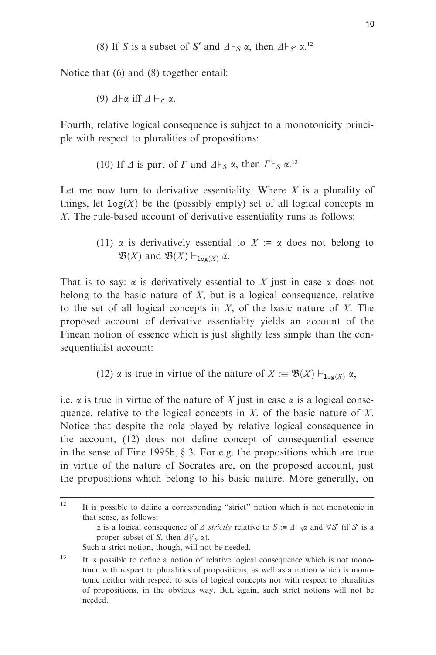(8) If S is a subset of S' and  $\Delta \vdash_S \alpha$ , then  $\Delta \vdash_{S'} \alpha$ .<sup>12</sup>

Notice that (6) and (8) together entail:

(9)  $\Delta \vdash \alpha$  iff  $\Delta \vdash_{\mathcal{L}} \alpha$ .

Fourth, relative logical consequence is subject to a monotonicity principle with respect to pluralities of propositions:

(10) If 
$$
\Delta
$$
 is part of  $\Gamma$  and  $\Delta \vdash_S \alpha$ , then  $\Gamma \vdash_S \alpha$ .<sup>13</sup>

Let me now turn to derivative essentiality. Where  $X$  is a plurality of things, let  $log(X)$  be the (possibly empty) set of all logical concepts in X. The rule-based account of derivative essentiality runs as follows:

> (11)  $\alpha$  is derivatively essential to  $X \equiv \alpha$  does not belong to  $\mathfrak{B}(X)$  and  $\mathfrak{B}(X) \vdash_{\text{loc}(X)} \alpha$ .

That is to say:  $\alpha$  is derivatively essential to X just in case  $\alpha$  does not belong to the basic nature of  $X$ , but is a logical consequence, relative to the set of all logical concepts in  $X$ , of the basic nature of  $X$ . The proposed account of derivative essentiality yields an account of the Finean notion of essence which is just slightly less simple than the consequentialist account:

(12)  $\alpha$  is true in virtue of the nature of  $X := \mathfrak{B}(X) \vdash_{\text{log}(X)} \alpha$ ,

i.e.  $\alpha$  is true in virtue of the nature of X just in case  $\alpha$  is a logical consequence, relative to the logical concepts in  $X$ , of the basic nature of  $X$ . Notice that despite the role played by relative logical consequence in the account, (12) does not define concept of consequential essence in the sense of Fine 1995b, § 3. For e.g. the propositions which are true in virtue of the nature of Socrates are, on the proposed account, just the propositions which belong to his basic nature. More generally, on

<sup>&</sup>lt;sup>12</sup> It is possible to define a corresponding "strict" notion which is not monotonic in that sense, as follows:

 $\alpha$  is a logical consequence of  $\Delta$  strictly relative to  $S := \Delta \xi \alpha$  and  $\forall S'$  (if S<sup>t</sup> is a proper subset of S, then  $\Delta V_{\alpha} \alpha$ ).

Such a strict notion, though, will not be needed.

<sup>&</sup>lt;sup>13</sup> It is possible to define a notion of relative logical consequence which is not monotonic with respect to pluralities of propositions, as well as a notion which is monotonic neither with respect to sets of logical concepts nor with respect to pluralities of propositions, in the obvious way. But, again, such strict notions will not be needed.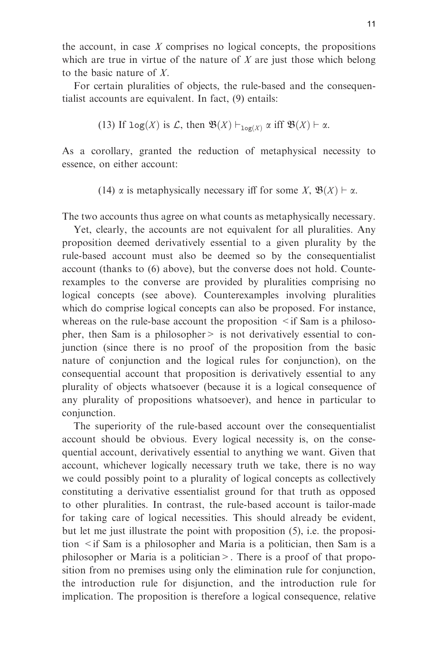the account, in case  $X$  comprises no logical concepts, the propositions which are true in virtue of the nature of  $X$  are just those which belong to the basic nature of  $X$ .

For certain pluralities of objects, the rule-based and the consequentialist accounts are equivalent. In fact, (9) entails:

(13) If 
$$
\log(X)
$$
 is L, then  $\mathfrak{B}(X) \vdash_{\log(X)} \alpha$  iff  $\mathfrak{B}(X) \vdash \alpha$ .

As a corollary, granted the reduction of metaphysical necessity to essence, on either account:

(14)  $\alpha$  is metaphysically necessary iff for some X,  $\mathfrak{B}(X) \vdash \alpha$ .

The two accounts thus agree on what counts as metaphysically necessary.

Yet, clearly, the accounts are not equivalent for all pluralities. Any proposition deemed derivatively essential to a given plurality by the rule-based account must also be deemed so by the consequentialist account (thanks to (6) above), but the converse does not hold. Counterexamples to the converse are provided by pluralities comprising no logical concepts (see above). Counterexamples involving pluralities which do comprise logical concepts can also be proposed. For instance, whereas on the rule-base account the proposition  $\leq$  if Sam is a philosopher, then Sam is a philosopher > is not derivatively essential to conjunction (since there is no proof of the proposition from the basic nature of conjunction and the logical rules for conjunction), on the consequential account that proposition is derivatively essential to any plurality of objects whatsoever (because it is a logical consequence of any plurality of propositions whatsoever), and hence in particular to conjunction.

The superiority of the rule-based account over the consequentialist account should be obvious. Every logical necessity is, on the consequential account, derivatively essential to anything we want. Given that account, whichever logically necessary truth we take, there is no way we could possibly point to a plurality of logical concepts as collectively constituting a derivative essentialist ground for that truth as opposed to other pluralities. In contrast, the rule-based account is tailor-made for taking care of logical necessities. This should already be evident, but let me just illustrate the point with proposition (5), i.e. the proposition  $\leq$  if Sam is a philosopher and Maria is a politician, then Sam is a philosopher or Maria is a politician>. There is a proof of that proposition from no premises using only the elimination rule for conjunction, the introduction rule for disjunction, and the introduction rule for implication. The proposition is therefore a logical consequence, relative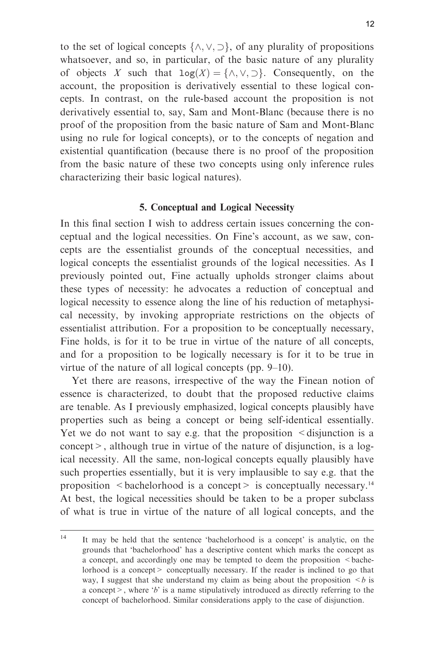to the set of logical concepts  $\{\wedge, \vee, \supset\}$ , of any plurality of propositions whatsoever, and so, in particular, of the basic nature of any plurality of objects X such that  $log(X) = \{ \land, \lor, \Box \}$ . Consequently, on the account, the proposition is derivatively essential to these logical concepts. In contrast, on the rule-based account the proposition is not derivatively essential to, say, Sam and Mont-Blanc (because there is no proof of the proposition from the basic nature of Sam and Mont-Blanc using no rule for logical concepts), or to the concepts of negation and existential quantification (because there is no proof of the proposition from the basic nature of these two concepts using only inference rules characterizing their basic logical natures).

### 5. Conceptual and Logical Necessity

In this final section I wish to address certain issues concerning the conceptual and the logical necessities. On Fine's account, as we saw, concepts are the essentialist grounds of the conceptual necessities, and logical concepts the essentialist grounds of the logical necessities. As I previously pointed out, Fine actually upholds stronger claims about these types of necessity: he advocates a reduction of conceptual and logical necessity to essence along the line of his reduction of metaphysical necessity, by invoking appropriate restrictions on the objects of essentialist attribution. For a proposition to be conceptually necessary, Fine holds, is for it to be true in virtue of the nature of all concepts, and for a proposition to be logically necessary is for it to be true in virtue of the nature of all logical concepts (pp. 9–10).

Yet there are reasons, irrespective of the way the Finean notion of essence is characterized, to doubt that the proposed reductive claims are tenable. As I previously emphasized, logical concepts plausibly have properties such as being a concept or being self-identical essentially. Yet we do not want to say e.g. that the proposition  $\leq$  disjunction is a concept>, although true in virtue of the nature of disjunction, is a logical necessity. All the same, non-logical concepts equally plausibly have such properties essentially, but it is very implausible to say e.g. that the proposition  $\leq$  bachelorhood is a concept $\geq$  is conceptually necessary.<sup>14</sup> At best, the logical necessities should be taken to be a proper subclass of what is true in virtue of the nature of all logical concepts, and the

<sup>14</sup> It may be held that the sentence 'bachelorhood is a concept' is analytic, on the grounds that 'bachelorhood' has a descriptive content which marks the concept as a concept, and accordingly one may be tempted to deem the proposition  $\leq$  bachelorhood is a concept $>$  conceptually necessary. If the reader is inclined to go that way, I suggest that she understand my claim as being about the proposition  $\leq b$  is a concept>, where 'b' is a name stipulatively introduced as directly referring to the concept of bachelorhood. Similar considerations apply to the case of disjunction.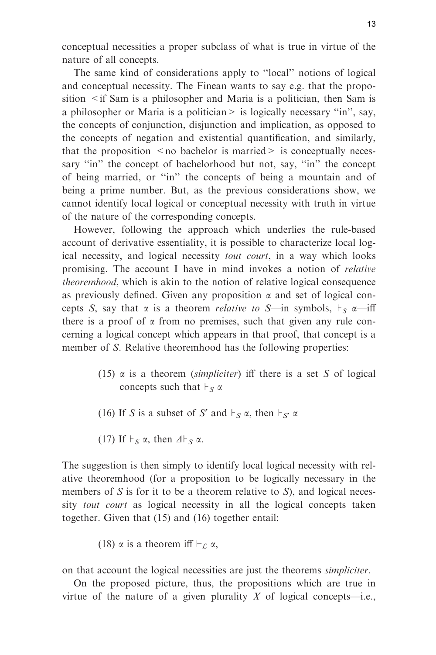conceptual necessities a proper subclass of what is true in virtue of the nature of all concepts.

The same kind of considerations apply to ''local'' notions of logical and conceptual necessity. The Finean wants to say e.g. that the propo $sition < if Sam is a philosopher and Maria is a politician, then Sam is$ a philosopher or Maria is a politician > is logically necessary "in", say, the concepts of conjunction, disjunction and implication, as opposed to the concepts of negation and existential quantification, and similarly, that the proposition  $\leq$  no bachelor is married  $>$  is conceptually necessary ''in'' the concept of bachelorhood but not, say, ''in'' the concept of being married, or ''in'' the concepts of being a mountain and of being a prime number. But, as the previous considerations show, we cannot identify local logical or conceptual necessity with truth in virtue of the nature of the corresponding concepts.

However, following the approach which underlies the rule-based account of derivative essentiality, it is possible to characterize local logical necessity, and logical necessity tout court, in a way which looks promising. The account I have in mind invokes a notion of relative theoremhood, which is akin to the notion of relative logical consequence as previously defined. Given any proposition  $\alpha$  and set of logical concepts S, say that  $\alpha$  is a theorem *relative to* S—in symbols,  $\vdash_S \alpha$ —iff there is a proof of  $\alpha$  from no premises, such that given any rule concerning a logical concept which appears in that proof, that concept is a member of S. Relative theoremhood has the following properties:

- (15)  $\alpha$  is a theorem (*simpliciter*) iff there is a set S of logical concepts such that  $\vdash_S \alpha$
- (16) If S is a subset of S' and  $\vdash_S \alpha$ , then  $\vdash_{S'} \alpha$
- (17) If  $\vdash_S \alpha$ , then  $\Delta \vdash_S \alpha$ .

The suggestion is then simply to identify local logical necessity with relative theoremhood (for a proposition to be logically necessary in the members of  $S$  is for it to be a theorem relative to  $S$ ), and logical necessity *tout court* as logical necessity in all the logical concepts taken together. Given that (15) and (16) together entail:

(18)  $\alpha$  is a theorem iff  $\vdash$   $\alpha$ ,

on that account the logical necessities are just the theorems simpliciter.

On the proposed picture, thus, the propositions which are true in virtue of the nature of a given plurality X of logical concepts—i.e.,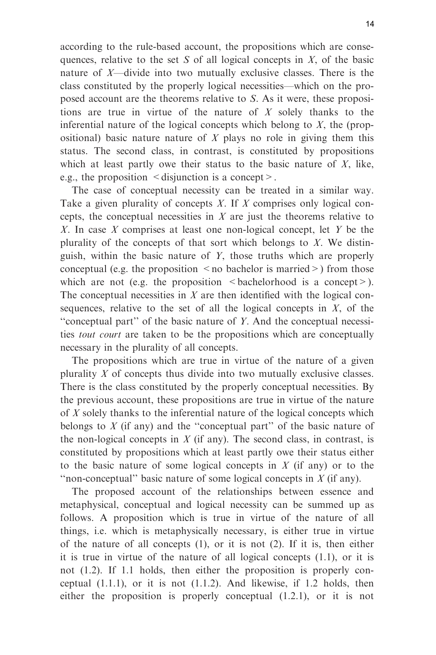according to the rule-based account, the propositions which are consequences, relative to the set S of all logical concepts in  $X$ , of the basic nature of X—divide into two mutually exclusive classes. There is the class constituted by the properly logical necessities—which on the proposed account are the theorems relative to S. As it were, these propositions are true in virtue of the nature of  $X$  solely thanks to the inferential nature of the logical concepts which belong to  $X$ , the (propositional) basic nature nature of  $X$  plays no role in giving them this status. The second class, in contrast, is constituted by propositions which at least partly owe their status to the basic nature of  $X$ , like, e.g., the proposition  $\le$  disjunction is a concept  $\ge$ .

The case of conceptual necessity can be treated in a similar way. Take a given plurality of concepts  $X$ . If  $X$  comprises only logical concepts, the conceptual necessities in  $X$  are just the theorems relative to X. In case X comprises at least one non-logical concept, let Y be the plurality of the concepts of that sort which belongs to  $X$ . We distinguish, within the basic nature of Y, those truths which are properly conceptual (e.g. the proposition  $\leq$  no bachelor is married $\geq$ ) from those which are not (e.g. the proposition  $\leq$  bachelorhood is a concept $\geq$ ). The conceptual necessities in  $X$  are then identified with the logical consequences, relative to the set of all the logical concepts in  $X$ , of the ''conceptual part'' of the basic nature of Y. And the conceptual necessities tout court are taken to be the propositions which are conceptually necessary in the plurality of all concepts.

The propositions which are true in virtue of the nature of a given plurality X of concepts thus divide into two mutually exclusive classes. There is the class constituted by the properly conceptual necessities. By the previous account, these propositions are true in virtue of the nature of X solely thanks to the inferential nature of the logical concepts which belongs to  $X$  (if any) and the "conceptual part" of the basic nature of the non-logical concepts in  $X$  (if any). The second class, in contrast, is constituted by propositions which at least partly owe their status either to the basic nature of some logical concepts in  $X$  (if any) or to the "non-conceptual" basic nature of some logical concepts in  $X$  (if any).

The proposed account of the relationships between essence and metaphysical, conceptual and logical necessity can be summed up as follows. A proposition which is true in virtue of the nature of all things, i.e. which is metaphysically necessary, is either true in virtue of the nature of all concepts (1), or it is not (2). If it is, then either it is true in virtue of the nature of all logical concepts (1.1), or it is not (1.2). If 1.1 holds, then either the proposition is properly conceptual (1.1.1), or it is not (1.1.2). And likewise, if 1.2 holds, then either the proposition is properly conceptual (1.2.1), or it is not